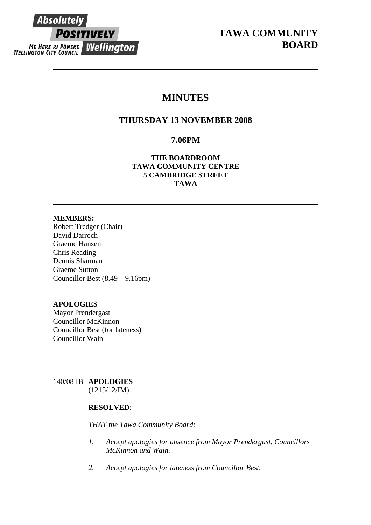

# **MINUTES**

# **THURSDAY 13 NOVEMBER 2008**

# **7.06PM**

**THE BOARDROOM TAWA COMMUNITY CENTRE 5 CAMBRIDGE STREET TAWA** 

## **MEMBERS:**

Robert Tredger (Chair) David Darroch Graeme Hansen Chris Reading Dennis Sharman Graeme Sutton Councillor Best (8.49 – 9.16pm)

# **APOLOGIES**

Mayor Prendergast Councillor McKinnon Councillor Best (for lateness) Councillor Wain

140/08TB **APOLOGIES** (1215/12/IM)

# **RESOLVED:**

*THAT the Tawa Community Board:* 

- *1. Accept apologies for absence from Mayor Prendergast, Councillors McKinnon and Wain.*
- *2. Accept apologies for lateness from Councillor Best.*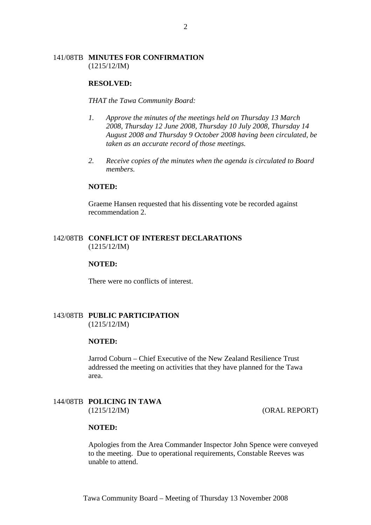### 141/08TB **MINUTES FOR CONFIRMATION** (1215/12/IM)

#### **RESOLVED:**

*THAT the Tawa Community Board:* 

- *1. Approve the minutes of the meetings held on Thursday 13 March 2008, Thursday 12 June 2008, Thursday 10 July 2008, Thursday 14 August 2008 and Thursday 9 October 2008 having been circulated, be taken as an accurate record of those meetings.*
- *2. Receive copies of the minutes when the agenda is circulated to Board members.*

#### **NOTED:**

Graeme Hansen requested that his dissenting vote be recorded against recommendation 2.

### 142/08TB **CONFLICT OF INTEREST DECLARATIONS** (1215/12/IM)

#### **NOTED:**

There were no conflicts of interest.

#### 143/08TB **PUBLIC PARTICIPATION** (1215/12/IM)

#### **NOTED:**

Jarrod Coburn – Chief Executive of the New Zealand Resilience Trust addressed the meeting on activities that they have planned for the Tawa area.

### 144/08TB **POLICING IN TAWA** (1215/12/IM) (ORAL REPORT)

### **NOTED:**

Apologies from the Area Commander Inspector John Spence were conveyed to the meeting. Due to operational requirements, Constable Reeves was unable to attend.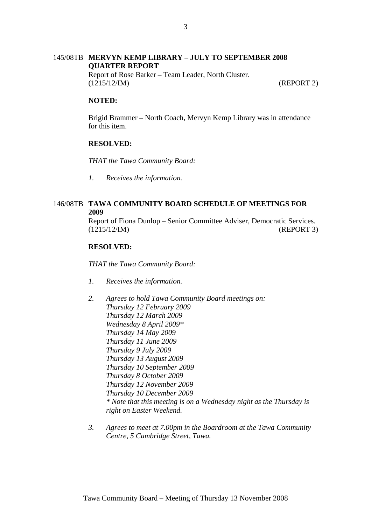# 145/08TB **MERVYN KEMP LIBRARY – JULY TO SEPTEMBER 2008 QUARTER REPORT** Report of Rose Barker – Team Leader, North Cluster.

(1215/12/IM) (REPORT 2)

### **NOTED:**

Brigid Brammer – North Coach, Mervyn Kemp Library was in attendance for this item.

### **RESOLVED:**

*THAT the Tawa Community Board:*

*1. Receives the information.* 

## 146/08TB **TAWA COMMUNITY BOARD SCHEDULE OF MEETINGS FOR 2009**

Report of Fiona Dunlop – Senior Committee Adviser, Democratic Services. (1215/12/IM) (REPORT 3)

### **RESOLVED:**

*THAT the Tawa Community Board:*

- *1. Receives the information.*
- *2. Agrees to hold Tawa Community Board meetings on: Thursday 12 February 2009 Thursday 12 March 2009 Wednesday 8 April 2009\* Thursday 14 May 2009 Thursday 11 June 2009 Thursday 9 July 2009 Thursday 13 August 2009 Thursday 10 September 2009 Thursday 8 October 2009 Thursday 12 November 2009 Thursday 10 December 2009 \* Note that this meeting is on a Wednesday night as the Thursday is right on Easter Weekend.*
- *3. Agrees to meet at 7.00pm in the Boardroom at the Tawa Community Centre, 5 Cambridge Street, Tawa.*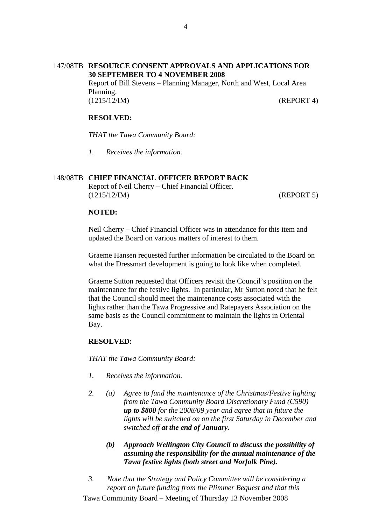### 147/08TB **RESOURCE CONSENT APPROVALS AND APPLICATIONS FOR 30 SEPTEMBER TO 4 NOVEMBER 2008**  Report of Bill Stevens – Planning Manager, North and West, Local Area Planning. (1215/12/IM) (REPORT 4)

## **RESOLVED:**

*THAT the Tawa Community Board:*

*1. Receives the information.* 

## 148/08TB **CHIEF FINANCIAL OFFICER REPORT BACK**

Report of Neil Cherry – Chief Financial Officer. (1215/12/IM) (REPORT 5)

### **NOTED:**

Neil Cherry – Chief Financial Officer was in attendance for this item and updated the Board on various matters of interest to them.

Graeme Hansen requested further information be circulated to the Board on what the Dressmart development is going to look like when completed.

Graeme Sutton requested that Officers revisit the Council's position on the maintenance for the festive lights. In particular, Mr Sutton noted that he felt that the Council should meet the maintenance costs associated with the lights rather than the Tawa Progressive and Ratepayers Association on the same basis as the Council commitment to maintain the lights in Oriental Bay.

### **RESOLVED:**

*THAT the Tawa Community Board:*

- *1. Receives the information.*
- *2. (a) Agree to fund the maintenance of the Christmas/Festive lighting from the Tawa Community Board Discretionary Fund (C590) up to \$800 for the 2008/09 year and agree that in future the lights will be switched on on the first Saturday in December and switched off at the end of January.*
	- *(b) Approach Wellington City Council to discuss the possibility of assuming the responsibility for the annual maintenance of the Tawa festive lights (both street and Norfolk Pine).*
- *3. Note that the Strategy and Policy Committee will be considering a report on future funding from the Plimmer Bequest and that this*

4

Tawa Community Board – Meeting of Thursday 13 November 2008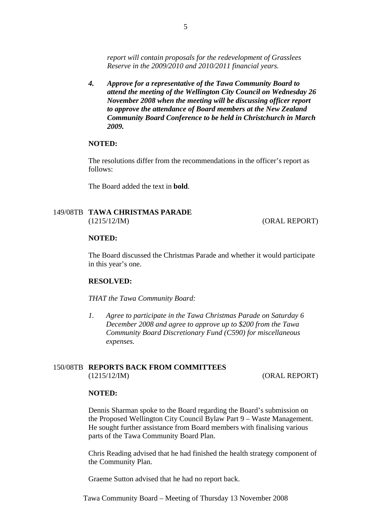*report will contain proposals for the redevelopment of Grasslees Reserve in the 2009/2010 and 2010/2011 financial years.* 

*4. Approve for a representative of the Tawa Community Board to attend the meeting of the Wellington City Council on Wednesday 26 November 2008 when the meeting will be discussing officer report to approve the attendance of Board members at the New Zealand Community Board Conference to be held in Christchurch in March 2009.* 

#### **NOTED:**

The resolutions differ from the recommendations in the officer's report as follows:

The Board added the text in **bold**.

### 149/08TB **TAWA CHRISTMAS PARADE** (1215/12/IM) (ORAL REPORT)

#### **NOTED:**

The Board discussed the Christmas Parade and whether it would participate in this year's one.

#### **RESOLVED:**

*THAT the Tawa Community Board:* 

*1. Agree to participate in the Tawa Christmas Parade on Saturday 6 December 2008 and agree to approve up to \$200 from the Tawa Community Board Discretionary Fund (C590) for miscellaneous expenses.* 

# 150/08TB **REPORTS BACK FROM COMMITTEES**

(1215/12/IM) (ORAL REPORT)

#### **NOTED:**

Dennis Sharman spoke to the Board regarding the Board's submission on the Proposed Wellington City Council Bylaw Part 9 – Waste Management. He sought further assistance from Board members with finalising various parts of the Tawa Community Board Plan.

Chris Reading advised that he had finished the health strategy component of the Community Plan.

Graeme Sutton advised that he had no report back.

Tawa Community Board – Meeting of Thursday 13 November 2008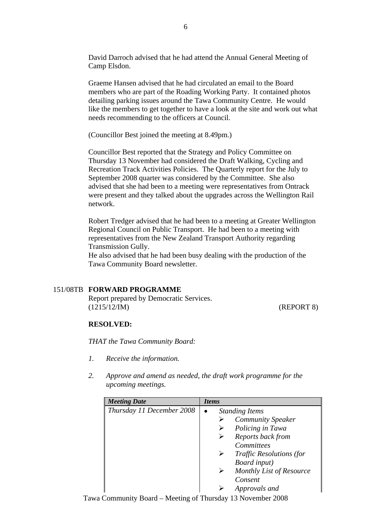David Darroch advised that he had attend the Annual General Meeting of Camp Elsdon.

Graeme Hansen advised that he had circulated an email to the Board members who are part of the Roading Working Party. It contained photos detailing parking issues around the Tawa Community Centre. He would like the members to get together to have a look at the site and work out what needs recommending to the officers at Council.

(Councillor Best joined the meeting at 8.49pm.)

Councillor Best reported that the Strategy and Policy Committee on Thursday 13 November had considered the Draft Walking, Cycling and Recreation Track Activities Policies. The Quarterly report for the July to September 2008 quarter was considered by the Committee. She also advised that she had been to a meeting were representatives from Ontrack were present and they talked about the upgrades across the Wellington Rail network.

Robert Tredger advised that he had been to a meeting at Greater Wellington Regional Council on Public Transport. He had been to a meeting with representatives from the New Zealand Transport Authority regarding Transmission Gully.

He also advised that he had been busy dealing with the production of the Tawa Community Board newsletter.

### 151/08TB **FORWARD PROGRAMME**

Report prepared by Democratic Services. (1215/12/IM) (REPORT 8)

### **RESOLVED:**

*THAT the Tawa Community Board:* 

- *1. Receive the information.*
- *2. Approve and amend as needed, the draft work programme for the upcoming meetings.*

| <b>Meeting Date</b>       | <i>Items</i>                         |
|---------------------------|--------------------------------------|
| Thursday 11 December 2008 | <b>Standing Items</b>                |
|                           | <b>Community Speaker</b>             |
|                           | Policing in Tawa                     |
|                           | Reports back from<br>➤               |
|                           | Committees                           |
|                           | <i>Traffic Resolutions (for</i><br>➤ |
|                           | Board input)                         |
|                           | Monthly List of Resource<br>➤        |
|                           | Consent                              |
|                           | Approvals and                        |

Tawa Community Board – Meeting of Thursday 13 November 2008